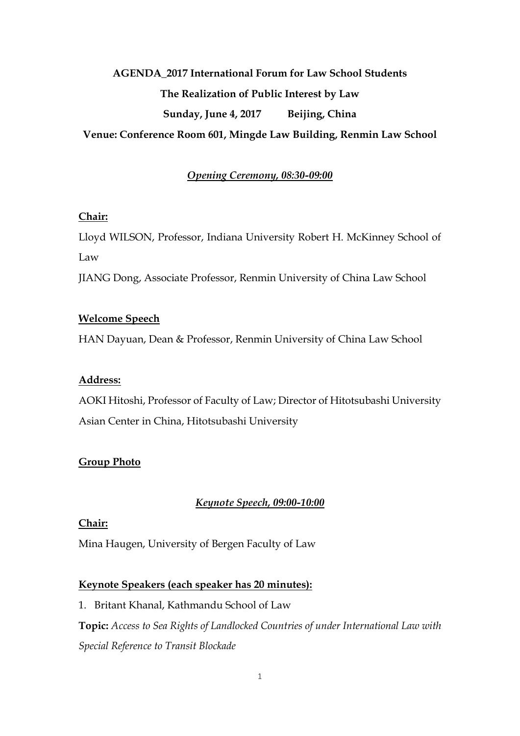# **AGENDA\_2017 International Forum for Law School Students The Realization of Public Interest by Law Sunday, June 4, 2017 Beijing, China Venue: Conference Room 601, Mingde Law Building, Renmin Law School**

# *Opening Ceremony, 08:30-09:00*

#### **Chair:**

Lloyd WILSON, Professor, Indiana University Robert H. McKinney School of Law

JIANG Dong, Associate Professor, Renmin University of China Law School

#### **Welcome Speech**

HAN Dayuan, Dean & Professor, Renmin University of China Law School

#### **Address:**

AOKI Hitoshi, Professor of Faculty of Law; Director of Hitotsubashi University Asian Center in China, Hitotsubashi University

# **Group Photo**

# *Keynote Speech, 09:00-10:00*

#### **Chair:**

Mina Haugen, University of Bergen Faculty of Law

# **Keynote Speakers (each speaker has 20 minutes):**

1. Britant Khanal, Kathmandu School of Law **Topic:** *Access to Sea Rights of Landlocked Countries of under International Law with Special Reference to Transit Blockade*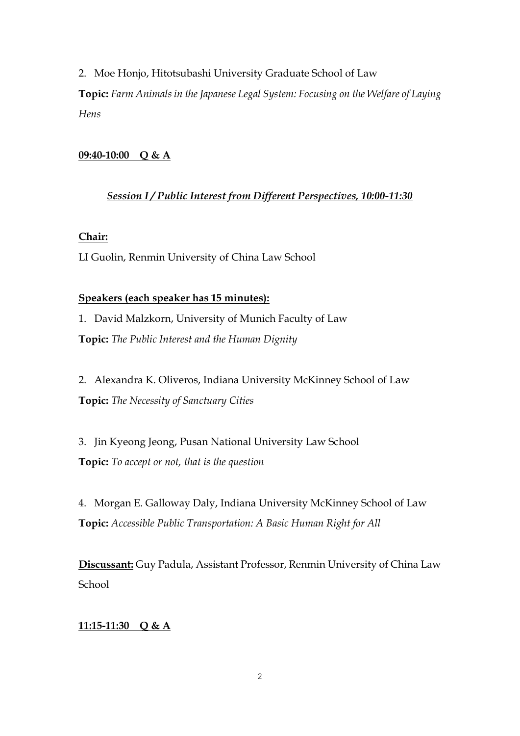2. Moe Honjo, Hitotsubashi University Graduate School of Law **Topic:** *Farm Animals in the Japanese Legal System: Focusing on the Welfare of Laying Hens*

#### **09:40-10:00 Q & A**

#### *Session I / Public Interest from Different Perspectives, 10:00-11:30*

#### **Chair:**

LI Guolin, Renmin University of China Law School

#### **Speakers (each speaker has 15 minutes):**

1. David Malzkorn, University of Munich Faculty of Law **Topic:** *The Public Interest and the Human Dignity*

2. Alexandra K. Oliveros, Indiana University McKinney School of Law **Topic:** *The Necessity of Sanctuary Cities*

3. Jin Kyeong Jeong, Pusan National University Law School **Topic:** *To accept or not, that is the question*

4. Morgan E. Galloway Daly, Indiana University McKinney School of Law **Topic:** *Accessible Public Transportation: A Basic Human Right for All*

**Discussant:** Guy Padula, Assistant Professor, Renmin University of China Law School

#### **11:15-11:30 Q & A**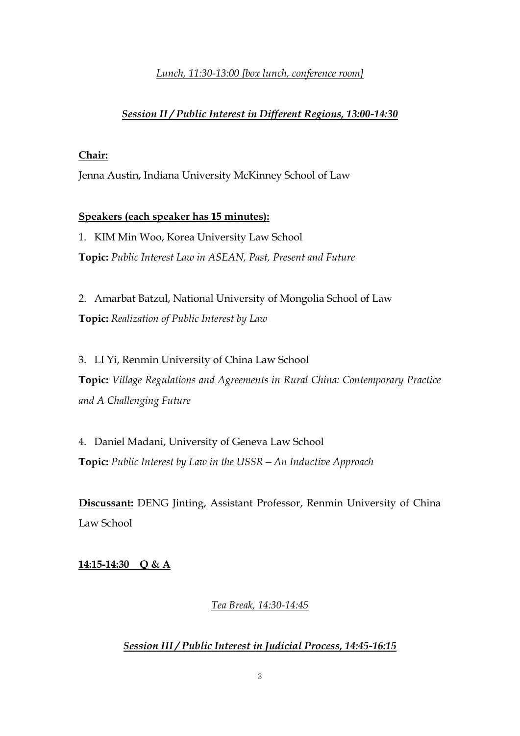#### *Lunch, 11:30-13:00 [box lunch, conference room]*

#### *Session II / Public Interest in Different Regions, 13:00-14:30*

#### **Chair:**

Jenna Austin, Indiana University McKinney School of Law

#### **Speakers (each speaker has 15 minutes):**

1. KIM Min Woo, Korea University Law School **Topic:** *Public Interest Law in ASEAN, Past, Present and Future*

2. Amarbat Batzul, National University of Mongolia School of Law **Topic:** *Realization of Public Interest by Law*

3. LI Yi, Renmin University of China Law School **Topic:** *Village Regulations and Agreements in Rural China: Contemporary Practice and A Challenging Future*

4. Daniel Madani, University of Geneva Law School **Topic:** *Public Interest by Law in the USSR—An Inductive Approach*

**Discussant:** DENG Jinting, Assistant Professor, Renmin University of China Law School

**14:15-14:30 Q & A**

# *Tea Break, 14:30-14:45*

# *Session III / Public Interest in Judicial Process, 14:45-16:15*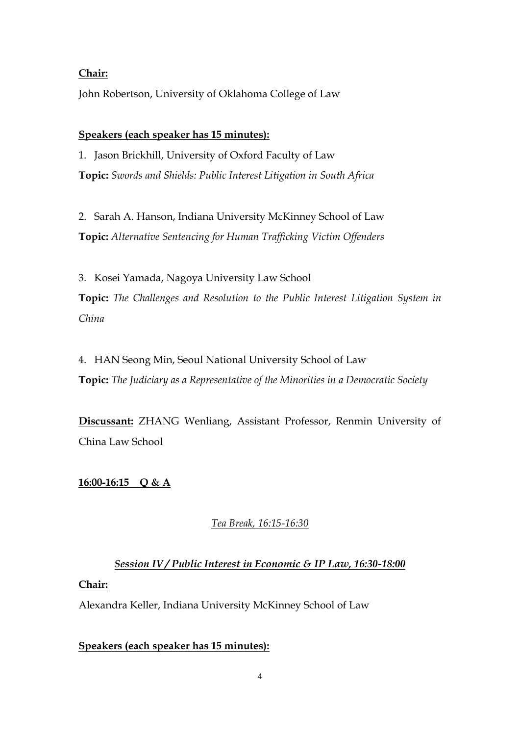#### **Chair:**

John Robertson, University of Oklahoma College of Law

#### **Speakers (each speaker has 15 minutes):**

1. Jason Brickhill, University of Oxford Faculty of Law **Topic:** *Swords and Shields: Public Interest Litigation in South Africa*

2. Sarah A. Hanson, Indiana University McKinney School of Law **Topic:** *Alternative Sentencing for Human Trafficking Victim Offenders*

3. Kosei Yamada, Nagoya University Law School **Topic:** *The Challenges and Resolution to the Public Interest Litigation System in China*

4. HAN Seong Min, Seoul National University School of Law **Topic:** *The Judiciary as a Representative of the Minorities in a Democratic Society*

**Discussant:** ZHANG Wenliang, Assistant Professor, Renmin University of China Law School

# **16:00-16:15 Q & A**

# *Tea Break, 16:15-16:30*

# *Session IV / Public Interest in Economic & IP Law, 16:30-18:00*

#### **Chair:**

Alexandra Keller, Indiana University McKinney School of Law

#### **Speakers (each speaker has 15 minutes):**